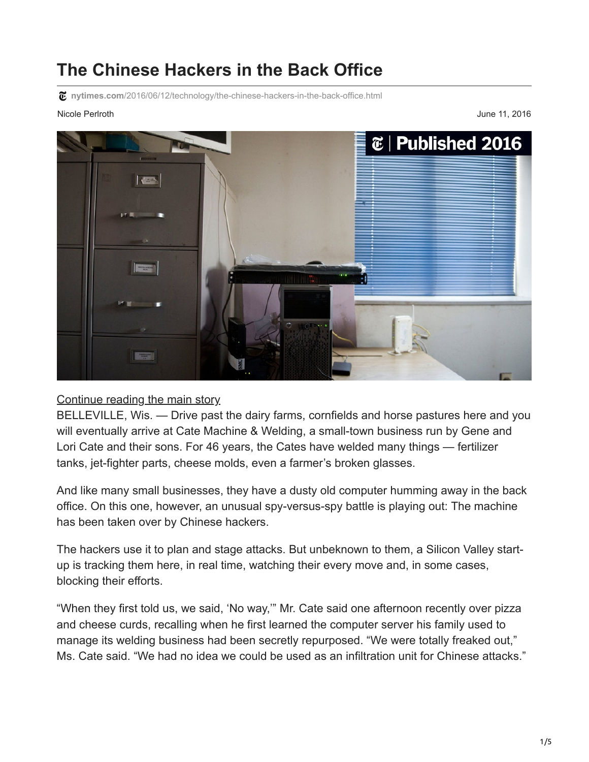# **The Chinese Hackers in the Back Office**

**nytimes.com**[/2016/06/12/technology/the-chinese-hackers-in-the-back-office.html](https://www.nytimes.com/2016/06/12/technology/the-chinese-hackers-in-the-back-office.html)

#### Nicole Perlroth June 11, 2016



### Continue reading the main story

BELLEVILLE, Wis. — Drive past the dairy farms, cornfields and horse pastures here and you will eventually arrive at Cate Machine & Welding, a small-town business run by Gene and Lori Cate and their sons. For 46 years, the Cates have welded many things — fertilizer tanks, jet-fighter parts, cheese molds, even a farmer's broken glasses.

And like many small businesses, they have a dusty old computer humming away in the back office. On this one, however, an unusual spy-versus-spy battle is playing out: The machine has been taken over by Chinese hackers.

The hackers use it to plan and stage attacks. But unbeknown to them, a Silicon Valley startup is tracking them here, in real time, watching their every move and, in some cases, blocking their efforts.

"When they first told us, we said, 'No way,'" Mr. Cate said one afternoon recently over pizza and cheese curds, recalling when he first learned the computer server his family used to manage its welding business had been secretly repurposed. "We were totally freaked out," Ms. Cate said. "We had no idea we could be used as an infiltration unit for Chinese attacks."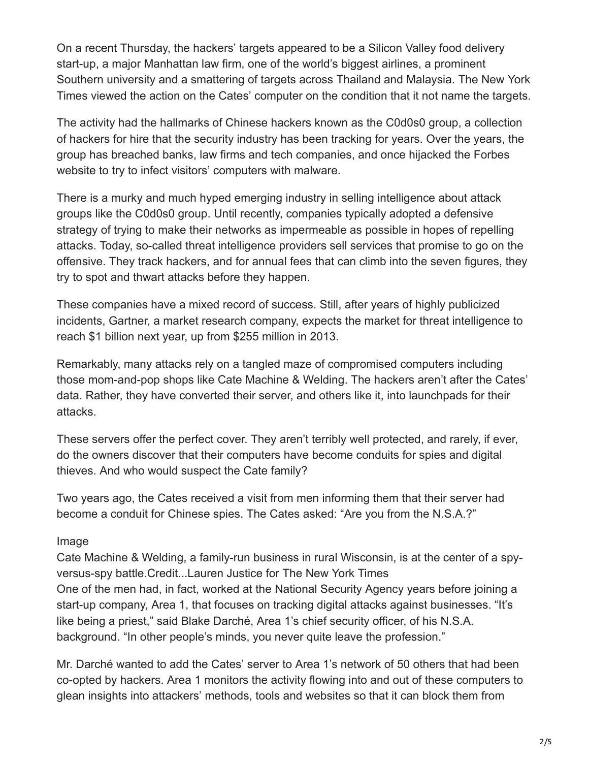On a recent Thursday, the hackers' targets appeared to be a Silicon Valley food delivery start-up, a major Manhattan law firm, one of the world's biggest airlines, a prominent Southern university and a smattering of targets across Thailand and Malaysia. The New York Times viewed the action on the Cates' computer on the condition that it not name the targets.

The activity had the hallmarks of Chinese hackers known as the C0d0s0 group, a collection of hackers for hire that the security industry has been tracking for years. Over the years, the group has breached banks, law firms and tech companies, and once hijacked the Forbes website to try to infect visitors' computers with malware.

There is a murky and much hyped emerging industry in selling intelligence about attack groups like the C0d0s0 group. Until recently, companies typically adopted a defensive strategy of trying to make their networks as impermeable as possible in hopes of repelling attacks. Today, so-called threat intelligence providers sell services that promise to go on the offensive. They track hackers, and for annual fees that can climb into the seven figures, they try to spot and thwart attacks before they happen.

These companies have a mixed record of success. Still, after years of highly publicized incidents, Gartner, a market research company, expects the market for threat intelligence to reach \$1 billion next year, up from \$255 million in 2013.

Remarkably, many attacks rely on a tangled maze of compromised computers including those mom-and-pop shops like Cate Machine & Welding. The hackers aren't after the Cates' data. Rather, they have converted their server, and others like it, into launchpads for their attacks.

These servers offer the perfect cover. They aren't terribly well protected, and rarely, if ever, do the owners discover that their computers have become conduits for spies and digital thieves. And who would suspect the Cate family?

Two years ago, the Cates received a visit from men informing them that their server had become a conduit for Chinese spies. The Cates asked: "Are you from the N.S.A.?"

# Image

Cate Machine & Welding, a family-run business in rural Wisconsin, is at the center of a spyversus-spy battle.Credit...Lauren Justice for The New York Times One of the men had, in fact, worked at the National Security Agency years before joining a start-up company, Area 1, that focuses on tracking digital attacks against businesses. "It's like being a priest," said Blake Darché, Area 1's chief security officer, of his N.S.A. background. "In other people's minds, you never quite leave the profession."

Mr. Darché wanted to add the Cates' server to Area 1's network of 50 others that had been co-opted by hackers. Area 1 monitors the activity flowing into and out of these computers to glean insights into attackers' methods, tools and websites so that it can block them from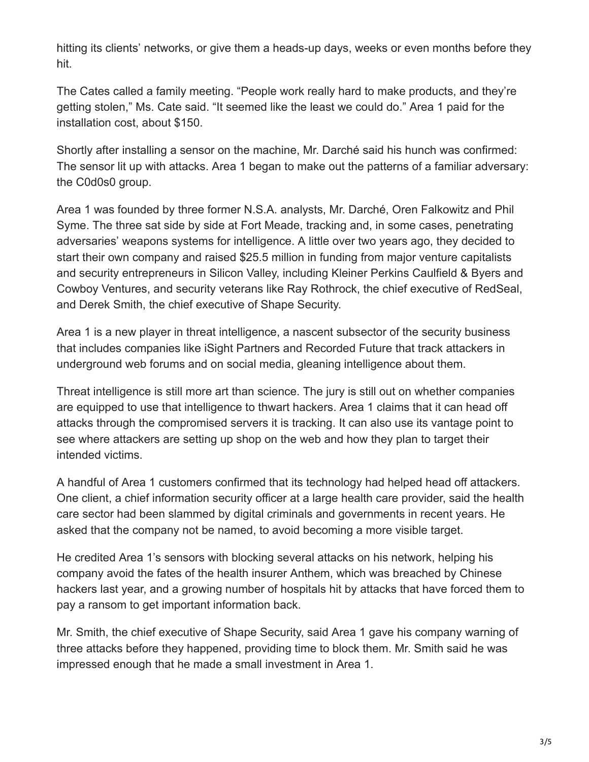hitting its clients' networks, or give them a heads-up days, weeks or even months before they hit.

The Cates called a family meeting. "People work really hard to make products, and they're getting stolen," Ms. Cate said. "It seemed like the least we could do." Area 1 paid for the installation cost, about \$150.

Shortly after installing a sensor on the machine, Mr. Darché said his hunch was confirmed: The sensor lit up with attacks. Area 1 began to make out the patterns of a familiar adversary: the C0d0s0 group.

Area 1 was founded by three former N.S.A. analysts, Mr. Darché, Oren Falkowitz and Phil Syme. The three sat side by side at Fort Meade, tracking and, in some cases, penetrating adversaries' weapons systems for intelligence. A little over two years ago, they decided to start their own company and raised \$25.5 million in funding from major venture capitalists and security entrepreneurs in Silicon Valley, including Kleiner Perkins Caulfield & Byers and Cowboy Ventures, and security veterans like Ray Rothrock, the chief executive of RedSeal, and Derek Smith, the chief executive of Shape Security.

Area 1 is a new player in threat intelligence, a nascent subsector of the security business that includes companies like iSight Partners and Recorded Future that track attackers in underground web forums and on social media, gleaning intelligence about them.

Threat intelligence is still more art than science. The jury is still out on whether companies are equipped to use that intelligence to thwart hackers. Area 1 claims that it can head off attacks through the compromised servers it is tracking. It can also use its vantage point to see where attackers are setting up shop on the web and how they plan to target their intended victims.

A handful of Area 1 customers confirmed that its technology had helped head off attackers. One client, a chief information security officer at a large health care provider, said the health care sector had been slammed by digital criminals and governments in recent years. He asked that the company not be named, to avoid becoming a more visible target.

He credited Area 1's sensors with blocking several attacks on his network, helping his company avoid the fates of the health insurer Anthem, which was breached by Chinese hackers last year, and a growing number of hospitals hit by attacks that have forced them to pay a ransom to get important information back.

Mr. Smith, the chief executive of Shape Security, said Area 1 gave his company warning of three attacks before they happened, providing time to block them. Mr. Smith said he was impressed enough that he made a small investment in Area 1.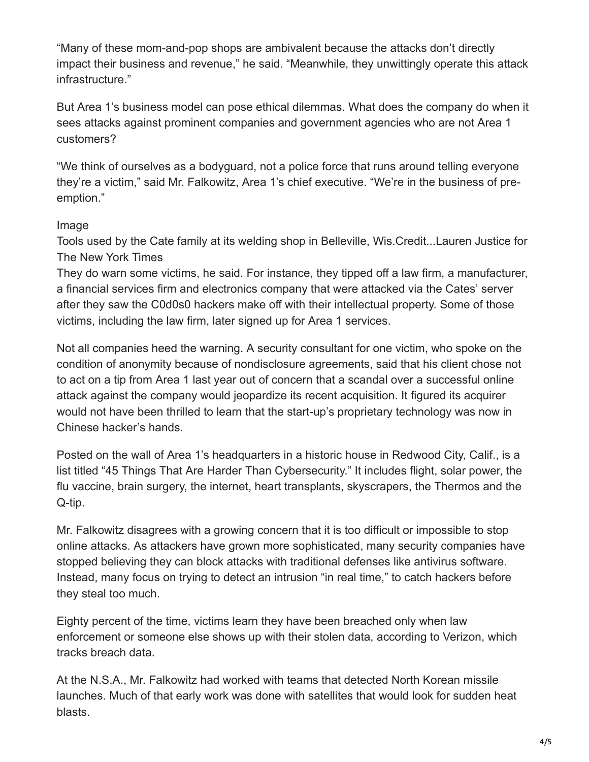"Many of these mom-and-pop shops are ambivalent because the attacks don't directly impact their business and revenue," he said. "Meanwhile, they unwittingly operate this attack infrastructure."

But Area 1's business model can pose ethical dilemmas. What does the company do when it sees attacks against prominent companies and government agencies who are not Area 1 customers?

"We think of ourselves as a bodyguard, not a police force that runs around telling everyone they're a victim," said Mr. Falkowitz, Area 1's chief executive. "We're in the business of preemption."

# Image

Tools used by the Cate family at its welding shop in Belleville, Wis.Credit...Lauren Justice for The New York Times

They do warn some victims, he said. For instance, they tipped off a law firm, a manufacturer, a financial services firm and electronics company that were attacked via the Cates' server after they saw the C0d0s0 hackers make off with their intellectual property. Some of those victims, including the law firm, later signed up for Area 1 services.

Not all companies heed the warning. A security consultant for one victim, who spoke on the condition of anonymity because of nondisclosure agreements, said that his client chose not to act on a tip from Area 1 last year out of concern that a scandal over a successful online attack against the company would jeopardize its recent acquisition. It figured its acquirer would not have been thrilled to learn that the start-up's proprietary technology was now in Chinese hacker's hands.

Posted on the wall of Area 1's headquarters in a historic house in Redwood City, Calif., is a list titled "45 Things That Are Harder Than Cybersecurity." It includes flight, solar power, the flu vaccine, brain surgery, the internet, heart transplants, skyscrapers, the Thermos and the Q-tip.

Mr. Falkowitz disagrees with a growing concern that it is too difficult or impossible to stop online attacks. As attackers have grown more sophisticated, many security companies have stopped believing they can block attacks with traditional defenses like antivirus software. Instead, many focus on trying to detect an intrusion "in real time," to catch hackers before they steal too much.

Eighty percent of the time, victims learn they have been breached only when law enforcement or someone else shows up with their stolen data, according to Verizon, which tracks breach data.

At the N.S.A., Mr. Falkowitz had worked with teams that detected North Korean missile launches. Much of that early work was done with satellites that would look for sudden heat blasts.